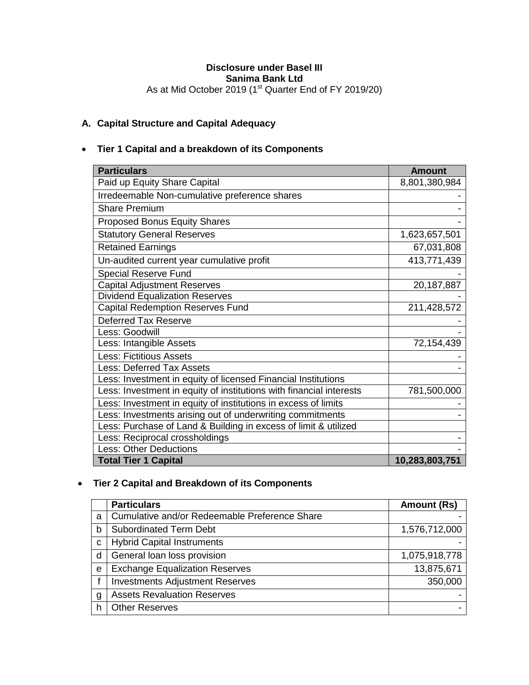# **Disclosure under Basel III Sanima Bank Ltd** As at Mid October 2019 (1<sup>st</sup> Quarter End of FY 2019/20)

# **A. Capital Structure and Capital Adequacy**

# **Tier 1 Capital and a breakdown of its Components**

| <b>Particulars</b>                                                  | <b>Amount</b>  |
|---------------------------------------------------------------------|----------------|
| Paid up Equity Share Capital                                        | 8,801,380,984  |
| Irredeemable Non-cumulative preference shares                       |                |
| <b>Share Premium</b>                                                |                |
| <b>Proposed Bonus Equity Shares</b>                                 |                |
| <b>Statutory General Reserves</b>                                   | 1,623,657,501  |
| <b>Retained Earnings</b>                                            | 67,031,808     |
| Un-audited current year cumulative profit                           | 413,771,439    |
| <b>Special Reserve Fund</b>                                         |                |
| <b>Capital Adjustment Reserves</b>                                  | 20,187,887     |
| <b>Dividend Equalization Reserves</b>                               |                |
| <b>Capital Redemption Reserves Fund</b>                             | 211,428,572    |
| Deferred Tax Reserve                                                |                |
| Less: Goodwill                                                      |                |
| Less: Intangible Assets                                             | 72,154,439     |
| <b>Less: Fictitious Assets</b>                                      |                |
| <b>Less: Deferred Tax Assets</b>                                    |                |
| Less: Investment in equity of licensed Financial Institutions       |                |
| Less: Investment in equity of institutions with financial interests | 781,500,000    |
| Less: Investment in equity of institutions in excess of limits      |                |
| Less: Investments arising out of underwriting commitments           |                |
| Less: Purchase of Land & Building in excess of limit & utilized     |                |
| Less: Reciprocal crossholdings                                      |                |
| <b>Less: Other Deductions</b>                                       |                |
| <b>Total Tier 1 Capital</b>                                         | 10,283,803,751 |

# **Tier 2 Capital and Breakdown of its Components**

|   | <b>Particulars</b>                            | Amount (Rs)   |
|---|-----------------------------------------------|---------------|
| a | Cumulative and/or Redeemable Preference Share |               |
| b | <b>Subordinated Term Debt</b>                 | 1,576,712,000 |
| C | <b>Hybrid Capital Instruments</b>             |               |
| d | General loan loss provision                   | 1,075,918,778 |
| e | <b>Exchange Equalization Reserves</b>         | 13,875,671    |
|   | <b>Investments Adjustment Reserves</b>        | 350,000       |
| g | <b>Assets Revaluation Reserves</b>            |               |
|   | <b>Other Reserves</b>                         |               |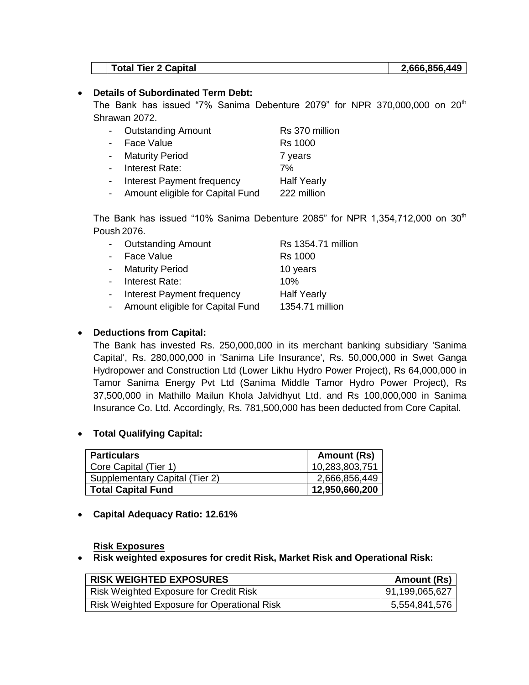# **Total Tier 2 Capital 2,666,856,449**

#### **Details of Subordinated Term Debt:**

The Bank has issued "7% Sanima Debenture 2079" for NPR 370,000,000 on 20<sup>th</sup> Shrawan 2072.

| <b>Outstanding Amount</b>        | Rs 370 million     |
|----------------------------------|--------------------|
| Face Value                       | <b>Rs 1000</b>     |
| - Maturity Period                | 7 years            |
| Interest Rate:                   | 7%                 |
| Interest Payment frequency       | <b>Half Yearly</b> |
| Amount eligible for Capital Fund | 222 million        |

The Bank has issued "10% Sanima Debenture 2085" for NPR 1,354,712,000 on  $30<sup>th</sup>$ Poush 2076.

| - Outstanding Amount               | <b>Rs 1354.71 million</b> |
|------------------------------------|---------------------------|
| - Face Value                       | <b>Rs 1000</b>            |
| - Maturity Period                  | 10 years                  |
| - Interest Rate:                   | 10%                       |
| - Interest Payment frequency       | <b>Half Yearly</b>        |
| - Amount eligible for Capital Fund | 1354.71 million           |

#### **Deductions from Capital:**

The Bank has invested Rs. 250,000,000 in its merchant banking subsidiary 'Sanima Capital', Rs. 280,000,000 in 'Sanima Life Insurance', Rs. 50,000,000 in Swet Ganga Hydropower and Construction Ltd (Lower Likhu Hydro Power Project), Rs 64,000,000 in Tamor Sanima Energy Pvt Ltd (Sanima Middle Tamor Hydro Power Project), Rs 37,500,000 in Mathillo Mailun Khola Jalvidhyut Ltd. and Rs 100,000,000 in Sanima Insurance Co. Ltd. Accordingly, Rs. 781,500,000 has been deducted from Core Capital.

#### **Total Qualifying Capital:**

| <b>Particulars</b>             | <b>Amount (Rs)</b> |
|--------------------------------|--------------------|
| Core Capital (Tier 1)          | 10,283,803,751     |
| Supplementary Capital (Tier 2) | 2,666,856,449      |
| <b>Total Capital Fund</b>      | 12,950,660,200     |

**Capital Adequacy Ratio: 12.61%**

#### **Risk Exposures**

**Risk weighted exposures for credit Risk, Market Risk and Operational Risk:**

| <b>RISK WEIGHTED EXPOSURES</b>                     | Amount (Rs)    |
|----------------------------------------------------|----------------|
| <b>Risk Weighted Exposure for Credit Risk</b>      | 91,199,065,627 |
| <b>Risk Weighted Exposure for Operational Risk</b> | 5,554,841,576  |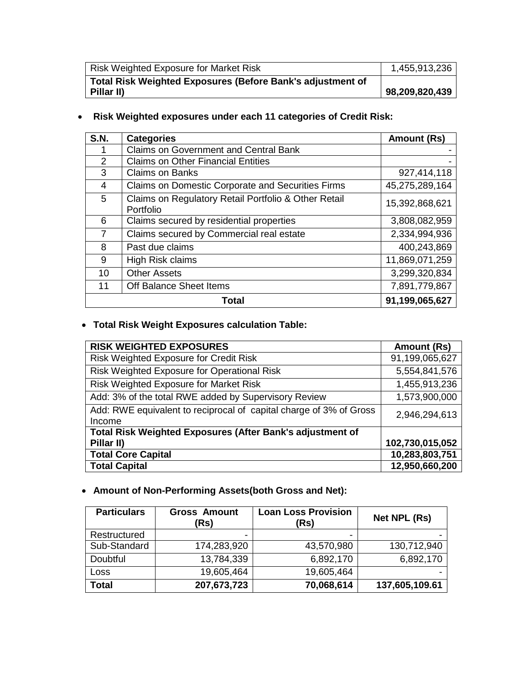| <b>Risk Weighted Exposure for Market Risk</b>              | 1,455,913,236  |
|------------------------------------------------------------|----------------|
| Total Risk Weighted Exposures (Before Bank's adjustment of |                |
| Pillar II)                                                 | 98,209,820,439 |

**Risk Weighted exposures under each 11 categories of Credit Risk:**

| <b>S.N.</b>   | <b>Categories</b>                                                 | Amount (Rs)    |
|---------------|-------------------------------------------------------------------|----------------|
|               | <b>Claims on Government and Central Bank</b>                      |                |
| $\mathcal{P}$ | <b>Claims on Other Financial Entities</b>                         |                |
| 3             | <b>Claims on Banks</b>                                            | 927,414,118    |
| 4             | Claims on Domestic Corporate and Securities Firms                 | 45,275,289,164 |
| 5             | Claims on Regulatory Retail Portfolio & Other Retail<br>Portfolio | 15,392,868,621 |
| 6             | Claims secured by residential properties                          | 3,808,082,959  |
| 7             | Claims secured by Commercial real estate                          | 2,334,994,936  |
| 8             | Past due claims                                                   | 400,243,869    |
| 9             | <b>High Risk claims</b>                                           | 11,869,071,259 |
| 10            | <b>Other Assets</b>                                               | 3,299,320,834  |
| 11            | <b>Off Balance Sheet Items</b>                                    | 7,891,779,867  |
|               | Total                                                             | 91,199,065,627 |

# **Total Risk Weight Exposures calculation Table:**

| <b>RISK WEIGHTED EXPOSURES</b>                                               | Amount (Rs)     |
|------------------------------------------------------------------------------|-----------------|
| Risk Weighted Exposure for Credit Risk                                       | 91,199,065,627  |
| Risk Weighted Exposure for Operational Risk                                  | 5,554,841,576   |
| Risk Weighted Exposure for Market Risk                                       | 1,455,913,236   |
| Add: 3% of the total RWE added by Supervisory Review                         | 1,573,900,000   |
| Add: RWE equivalent to reciprocal of capital charge of 3% of Gross<br>Income | 2,946,294,613   |
| Total Risk Weighted Exposures (After Bank's adjustment of                    |                 |
| Pillar II)                                                                   | 102,730,015,052 |
| <b>Total Core Capital</b>                                                    | 10,283,803,751  |
| <b>Total Capital</b>                                                         | 12,950,660,200  |

# **Amount of Non-Performing Assets(both Gross and Net):**

| <b>Particulars</b> | <b>Gross Amount</b><br>(Rs) | <b>Loan Loss Provision</b><br>(Rs) | Net NPL (Rs)   |
|--------------------|-----------------------------|------------------------------------|----------------|
| Restructured       |                             |                                    |                |
| Sub-Standard       | 174,283,920                 | 43,570,980                         | 130,712,940    |
| Doubtful           | 13,784,339                  | 6,892,170                          | 6,892,170      |
| Loss               | 19,605,464                  | 19,605,464                         |                |
| <b>Total</b>       | 207,673,723                 | 70,068,614                         | 137,605,109.61 |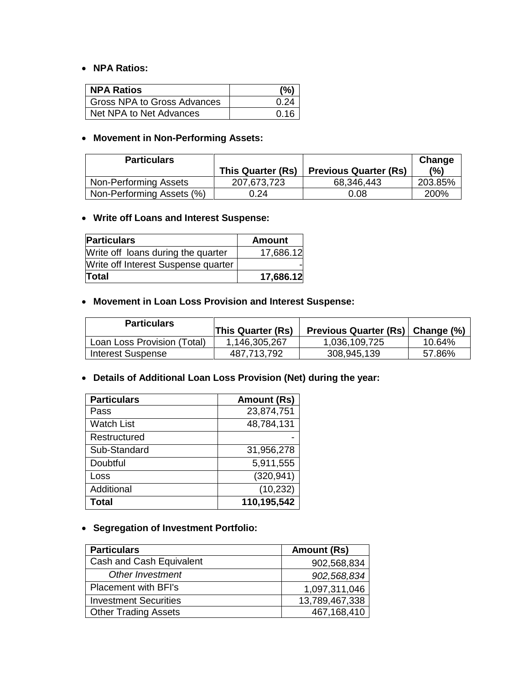# **NPA Ratios:**

| <b>NPA Ratios</b>             | (% ) |
|-------------------------------|------|
| l Gross NPA to Gross Advances | 0.24 |
| Net NPA to Net Advances       | 0.16 |

# **Movement in Non-Performing Assets:**

| <b>Particulars</b>        |                   |                              | Change  |
|---------------------------|-------------------|------------------------------|---------|
|                           | This Quarter (Rs) | <b>Previous Quarter (Rs)</b> | (%)     |
| Non-Performing Assets     | 207,673,723       | 68,346,443                   | 203.85% |
| Non-Performing Assets (%) | 0.24              | 0.08                         | 200%    |

# **Write off Loans and Interest Suspense:**

| <b>Particulars</b>                  | <b>Amount</b> |
|-------------------------------------|---------------|
| Write off loans during the quarter  | 17,686.12     |
| Write off Interest Suspense quarter |               |
| Total                               | 17,686.12     |

# **Movement in Loan Loss Provision and Interest Suspense:**

| <b>Particulars</b>          | This Quarter (Rs) | Previous Quarter (Rs)   Change (%) |        |
|-----------------------------|-------------------|------------------------------------|--------|
| Loan Loss Provision (Total) | 1,146,305,267     | 1,036,109,725                      | 10.64% |
| Interest Suspense           | 487,713,792       | 308,945,139                        | 57.86% |

# **Details of Additional Loan Loss Provision (Net) during the year:**

| <b>Particulars</b> | <b>Amount (Rs)</b> |
|--------------------|--------------------|
| Pass               | 23,874,751         |
| <b>Watch List</b>  | 48,784,131         |
| Restructured       |                    |
| Sub-Standard       | 31,956,278         |
| Doubtful           | 5,911,555          |
| Loss               | (320, 941)         |
| Additional         | (10, 232)          |
| Total              | 110,195,542        |

# **Segregation of Investment Portfolio:**

| <b>Particulars</b>           | Amount (Rs)    |
|------------------------------|----------------|
| Cash and Cash Equivalent     | 902,568,834    |
| <b>Other Investment</b>      | 902,568,834    |
| <b>Placement with BFI's</b>  | 1,097,311,046  |
| <b>Investment Securities</b> | 13,789,467,338 |
| <b>Other Trading Assets</b>  | 467,168,410    |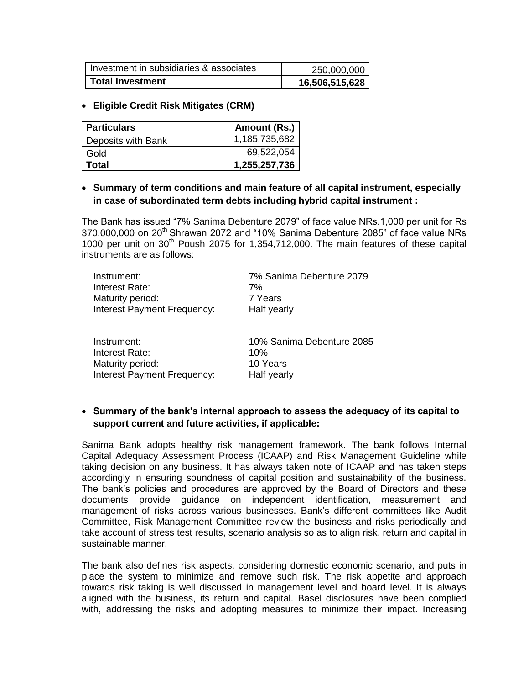| Investment in subsidiaries & associates | 250,000,000    |
|-----------------------------------------|----------------|
| <b>Total Investment</b>                 | 16,506,515,628 |

**Eligible Credit Risk Mitigates (CRM)** 

| <b>Particulars</b> | Amount (Rs.)  |
|--------------------|---------------|
| Deposits with Bank | 1,185,735,682 |
| Gold               | 69,522,054    |
| <b>Total</b>       | 1,255,257,736 |

# **Summary of term conditions and main feature of all capital instrument, especially in case of subordinated term debts including hybrid capital instrument :**

The Bank has issued "7% Sanima Debenture 2079" of face value NRs.1,000 per unit for Rs 370,000,000 on 20<sup>th</sup> Shrawan 2072 and "10% Sanima Debenture 2085" of face value NRs 1000 per unit on  $30<sup>th</sup>$  Poush 2075 for 1,354,712,000. The main features of these capital instruments are as follows:

| Instrument:<br>Interest Rate:      | 7% Sanima Debenture 2079<br>7% |
|------------------------------------|--------------------------------|
| Maturity period:                   | 7 Years                        |
| Interest Payment Frequency:        | Half yearly                    |
| Instrument:                        | 10% Sanima Debenture 2085      |
| Interest Rate:                     | 10%                            |
| Maturity period:                   | 10 Years                       |
| <b>Interest Payment Frequency:</b> | Half yearly                    |

# **Summary of the bank's internal approach to assess the adequacy of its capital to support current and future activities, if applicable:**

Sanima Bank adopts healthy risk management framework. The bank follows Internal Capital Adequacy Assessment Process (ICAAP) and Risk Management Guideline while taking decision on any business. It has always taken note of ICAAP and has taken steps accordingly in ensuring soundness of capital position and sustainability of the business. The bank's policies and procedures are approved by the Board of Directors and these documents provide guidance on independent identification, measurement and management of risks across various businesses. Bank's different committees like Audit Committee, Risk Management Committee review the business and risks periodically and take account of stress test results, scenario analysis so as to align risk, return and capital in sustainable manner.

The bank also defines risk aspects, considering domestic economic scenario, and puts in place the system to minimize and remove such risk. The risk appetite and approach towards risk taking is well discussed in management level and board level. It is always aligned with the business, its return and capital. Basel disclosures have been complied with, addressing the risks and adopting measures to minimize their impact. Increasing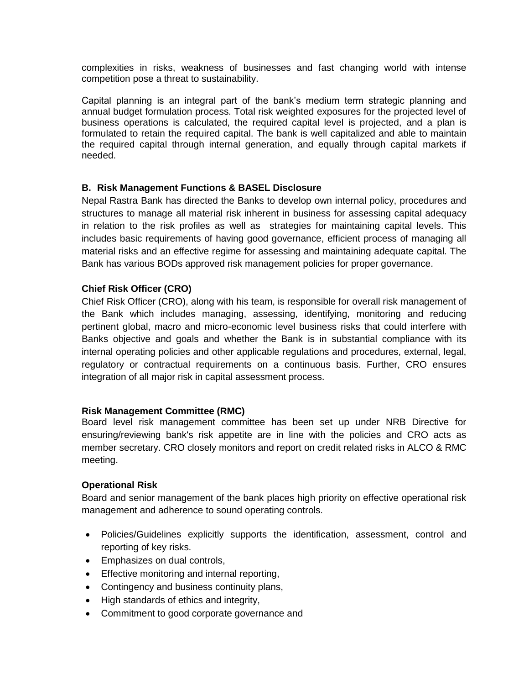complexities in risks, weakness of businesses and fast changing world with intense competition pose a threat to sustainability.

Capital planning is an integral part of the bank's medium term strategic planning and annual budget formulation process. Total risk weighted exposures for the projected level of business operations is calculated, the required capital level is projected, and a plan is formulated to retain the required capital. The bank is well capitalized and able to maintain the required capital through internal generation, and equally through capital markets if needed.

# **B. Risk Management Functions & BASEL Disclosure**

Nepal Rastra Bank has directed the Banks to develop own internal policy, procedures and structures to manage all material risk inherent in business for assessing capital adequacy in relation to the risk profiles as well as strategies for maintaining capital levels. This includes basic requirements of having good governance, efficient process of managing all material risks and an effective regime for assessing and maintaining adequate capital. The Bank has various BODs approved risk management policies for proper governance.

# **Chief Risk Officer (CRO)**

Chief Risk Officer (CRO), along with his team, is responsible for overall risk management of the Bank which includes managing, assessing, identifying, monitoring and reducing pertinent global, macro and micro-economic level business risks that could interfere with Banks objective and goals and whether the Bank is in substantial compliance with its internal operating policies and other applicable regulations and procedures, external, legal, regulatory or contractual requirements on a continuous basis. Further, CRO ensures integration of all major risk in capital assessment process.

# **Risk Management Committee (RMC)**

Board level risk management committee has been set up under NRB Directive for ensuring/reviewing bank's risk appetite are in line with the policies and CRO acts as member secretary. CRO closely monitors and report on credit related risks in ALCO & RMC meeting.

# **Operational Risk**

Board and senior management of the bank places high priority on effective operational risk management and adherence to sound operating controls.

- Policies/Guidelines explicitly supports the identification, assessment, control and reporting of key risks.
- Emphasizes on dual controls,
- Effective monitoring and internal reporting,
- Contingency and business continuity plans,
- High standards of ethics and integrity,
- Commitment to good corporate governance and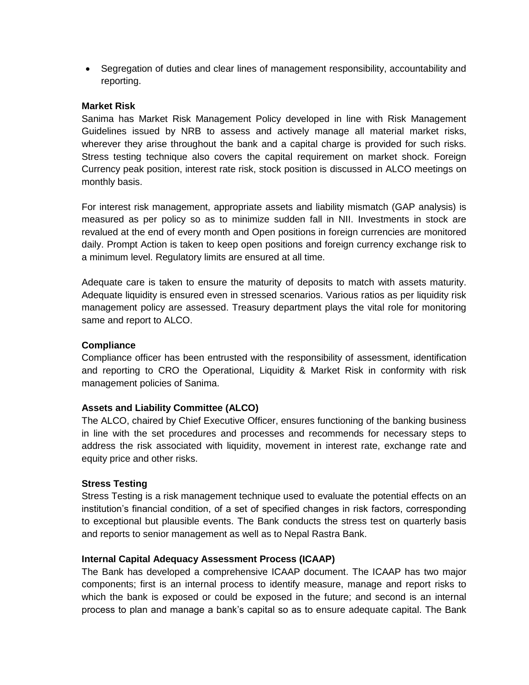• Segregation of duties and clear lines of management responsibility, accountability and reporting.

# **Market Risk**

Sanima has Market Risk Management Policy developed in line with Risk Management Guidelines issued by NRB to assess and actively manage all material market risks, wherever they arise throughout the bank and a capital charge is provided for such risks. Stress testing technique also covers the capital requirement on market shock. Foreign Currency peak position, interest rate risk, stock position is discussed in ALCO meetings on monthly basis.

For interest risk management, appropriate assets and liability mismatch (GAP analysis) is measured as per policy so as to minimize sudden fall in NII. Investments in stock are revalued at the end of every month and Open positions in foreign currencies are monitored daily. Prompt Action is taken to keep open positions and foreign currency exchange risk to a minimum level. Regulatory limits are ensured at all time.

Adequate care is taken to ensure the maturity of deposits to match with assets maturity. Adequate liquidity is ensured even in stressed scenarios. Various ratios as per liquidity risk management policy are assessed. Treasury department plays the vital role for monitoring same and report to ALCO.

### **Compliance**

Compliance officer has been entrusted with the responsibility of assessment, identification and reporting to CRO the Operational, Liquidity & Market Risk in conformity with risk management policies of Sanima.

# **Assets and Liability Committee (ALCO)**

The ALCO, chaired by Chief Executive Officer, ensures functioning of the banking business in line with the set procedures and processes and recommends for necessary steps to address the risk associated with liquidity, movement in interest rate, exchange rate and equity price and other risks.

# **Stress Testing**

Stress Testing is a risk management technique used to evaluate the potential effects on an institution's financial condition, of a set of specified changes in risk factors, corresponding to exceptional but plausible events. The Bank conducts the stress test on quarterly basis and reports to senior management as well as to Nepal Rastra Bank.

# **Internal Capital Adequacy Assessment Process (ICAAP)**

The Bank has developed a comprehensive ICAAP document. The ICAAP has two major components; first is an internal process to identify measure, manage and report risks to which the bank is exposed or could be exposed in the future; and second is an internal process to plan and manage a bank's capital so as to ensure adequate capital. The Bank